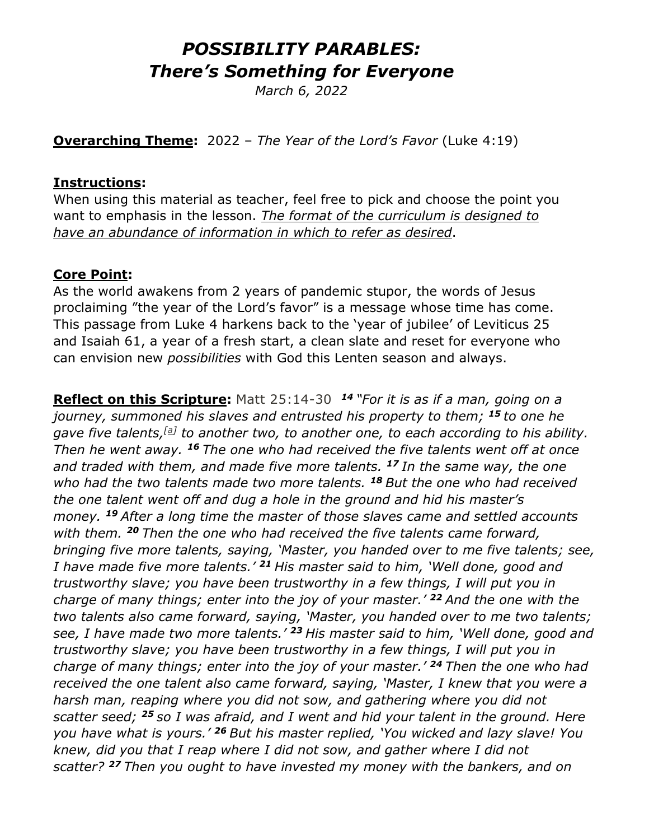# *POSSIBILITY PARABLES: There's Something for Everyone*

*March 6, 2022*

**Overarching Theme:** 2022 – *The Year of the Lord's Favor* (Luke 4:19)

#### **Instructions:**

When using this material as teacher, feel free to pick and choose the point you want to emphasis in the lesson. *The format of the curriculum is designed to have an abundance of information in which to refer as desired*.

### **Core Point:**

As the world awakens from 2 years of pandemic stupor, the words of Jesus proclaiming "the year of the Lord's favor" is a message whose time has come. This passage from Luke 4 harkens back to the 'year of jubilee' of Leviticus 25 and Isaiah 61, a year of a fresh start, a clean slate and reset for everyone who can envision new *possibilities* with God this Lenten season and always.

**Reflect on this Scripture:** Matt 25:14-30 *<sup>14</sup> "For it is as if a man, going on a journey, summoned his slaves and entrusted his property to them; <sup>15</sup> to one he gave five talents,[\[a\]](https://www.biblegateway.com/passage/?search=Matthew25:14-30&version=NRSV;NIV;CEB;MSG;VOICE#fen-NRSV-24021a) to another two, to another one, to each according to his ability. Then he went away. <sup>16</sup> The one who had received the five talents went off at once and traded with them, and made five more talents. <sup>17</sup> In the same way, the one who had the two talents made two more talents. <sup>18</sup> But the one who had received the one talent went off and dug a hole in the ground and hid his master's money. <sup>19</sup> After a long time the master of those slaves came and settled accounts with them. <sup>20</sup> Then the one who had received the five talents came forward, bringing five more talents, saying, 'Master, you handed over to me five talents; see, I have made five more talents.' <sup>21</sup> His master said to him, 'Well done, good and trustworthy slave; you have been trustworthy in a few things, I will put you in charge of many things; enter into the joy of your master.' <sup>22</sup> And the one with the two talents also came forward, saying, 'Master, you handed over to me two talents; see, I have made two more talents.' <sup>23</sup> His master said to him, 'Well done, good and trustworthy slave; you have been trustworthy in a few things, I will put you in charge of many things; enter into the joy of your master.' <sup>24</sup> Then the one who had received the one talent also came forward, saying, 'Master, I knew that you were a harsh man, reaping where you did not sow, and gathering where you did not scatter seed; <sup>25</sup> so I was afraid, and I went and hid your talent in the ground. Here you have what is yours.' <sup>26</sup> But his master replied, 'You wicked and lazy slave! You knew, did you that I reap where I did not sow, and gather where I did not scatter? <sup>27</sup> Then you ought to have invested my money with the bankers, and on*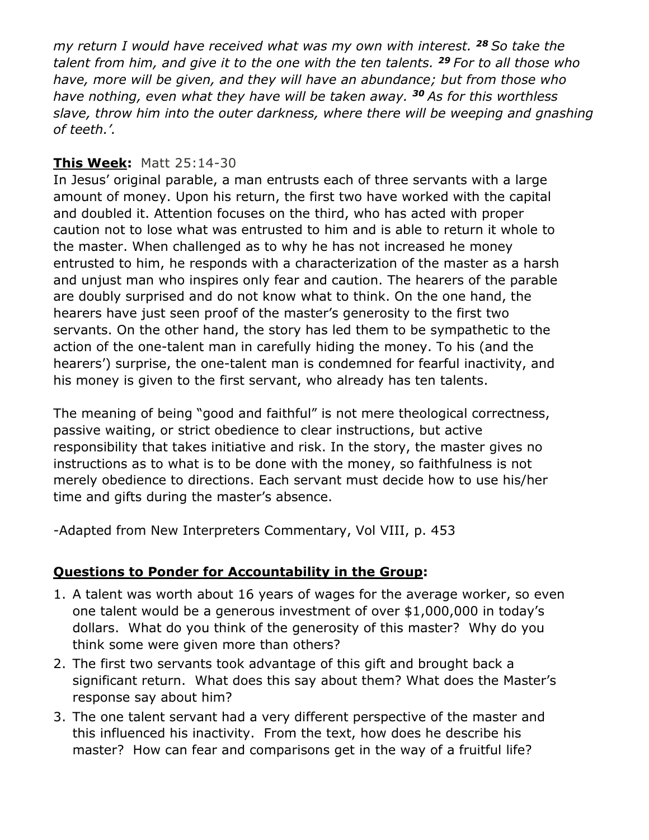*my return I would have received what was my own with interest. <sup>28</sup> So take the talent from him, and give it to the one with the ten talents. <sup>29</sup> For to all those who have, more will be given, and they will have an abundance; but from those who have nothing, even what they have will be taken away. <sup>30</sup> As for this worthless slave, throw him into the outer darkness, where there will be weeping and gnashing of teeth.'.*

#### **This Week:** Matt 25:14-30

In Jesus' original parable, a man entrusts each of three servants with a large amount of money. Upon his return, the first two have worked with the capital and doubled it. Attention focuses on the third, who has acted with proper caution not to lose what was entrusted to him and is able to return it whole to the master. When challenged as to why he has not increased he money entrusted to him, he responds with a characterization of the master as a harsh and unjust man who inspires only fear and caution. The hearers of the parable are doubly surprised and do not know what to think. On the one hand, the hearers have just seen proof of the master's generosity to the first two servants. On the other hand, the story has led them to be sympathetic to the action of the one-talent man in carefully hiding the money. To his (and the hearers') surprise, the one-talent man is condemned for fearful inactivity, and his money is given to the first servant, who already has ten talents.

The meaning of being "good and faithful" is not mere theological correctness, passive waiting, or strict obedience to clear instructions, but active responsibility that takes initiative and risk. In the story, the master gives no instructions as to what is to be done with the money, so faithfulness is not merely obedience to directions. Each servant must decide how to use his/her time and gifts during the master's absence.

-Adapted from New Interpreters Commentary, Vol VIII, p. 453

#### **Questions to Ponder for Accountability in the Group:**

- 1. A talent was worth about 16 years of wages for the average worker, so even one talent would be a generous investment of over \$1,000,000 in today's dollars. What do you think of the generosity of this master? Why do you think some were given more than others?
- 2. The first two servants took advantage of this gift and brought back a significant return. What does this say about them? What does the Master's response say about him?
- 3. The one talent servant had a very different perspective of the master and this influenced his inactivity. From the text, how does he describe his master? How can fear and comparisons get in the way of a fruitful life?